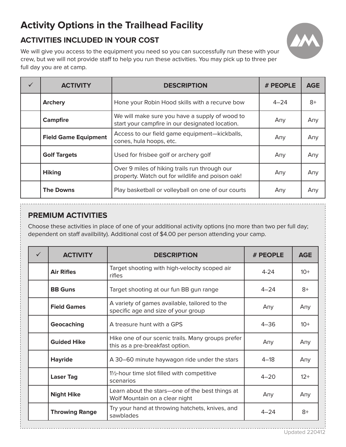## **Activity Options in the Trailhead Facility**

## **ACTIVITIES INCLUDED IN YOUR COST**



We will give you access to the equipment you need so you can successfully run these with your crew, but we will not provide staff to help you run these activities. You may pick up to three per full day you are at camp.

| <b>ACTIVITY</b>             | <b>DESCRIPTION</b>                                                                                | # PEOPLE | <b>AGE</b> |
|-----------------------------|---------------------------------------------------------------------------------------------------|----------|------------|
| <b>Archery</b>              | Hone your Robin Hood skills with a recurve bow                                                    | $4 - 24$ | $8+$       |
| <b>Campfire</b>             | We will make sure you have a supply of wood to<br>start your campfire in our designated location. | Any      | Any        |
| <b>Field Game Equipment</b> | Access to our field game equipment-kickballs,<br>cones, hula hoops, etc.                          | Any      | Any        |
| <b>Golf Targets</b>         | Used for frisbee golf or archery golf                                                             | Any      | Any        |
| <b>Hiking</b>               | Over 9 miles of hiking trails run through our<br>property. Watch out for wildlife and poison oak! | Any      | Any        |
| <b>The Downs</b>            | Play basketball or volleyball on one of our courts                                                | Any      | Any        |

## **PREMIUM ACTIVITIES**

Choose these activities in place of one of your additional activity options (no more than two per full day; dependent on staff availbility). Additional cost of \$4.00 per person attending your camp.

| ✓ | <b>ACTIVITY</b>       | <b>DESCRIPTION</b>                                                                   | # PEOPLE | <b>AGE</b> |
|---|-----------------------|--------------------------------------------------------------------------------------|----------|------------|
|   | <b>Air Rifles</b>     | Target shooting with high-velocity scoped air<br>rifles                              | $4 - 24$ | $10+$      |
|   | <b>BB Guns</b>        | Target shooting at our fun BB gun range                                              | $4 - 24$ | $8+$       |
|   | <b>Field Games</b>    | A variety of games available, tailored to the<br>specific age and size of your group | Any      | Any        |
|   | Geocaching            | A treasure hunt with a GPS                                                           | $4 - 36$ | $10+$      |
|   | <b>Guided Hike</b>    | Hike one of our scenic trails. Many groups prefer<br>this as a pre-breakfast option. | Any      | Any        |
|   | <b>Hayride</b>        | A 30-60 minute haywagon ride under the stars                                         | $4 - 18$ | Any        |
|   | <b>Laser Tag</b>      | 1/2-hour time slot filled with competitive<br>scenarios                              | $4 - 20$ | $12+$      |
|   | <b>Night Hike</b>     | Learn about the stars-one of the best things at<br>Wolf Mountain on a clear night    | Any      | Any        |
|   | <b>Throwing Range</b> | Try your hand at throwing hatchets, knives, and<br>sawblades                         | $4 - 24$ | $8+$       |